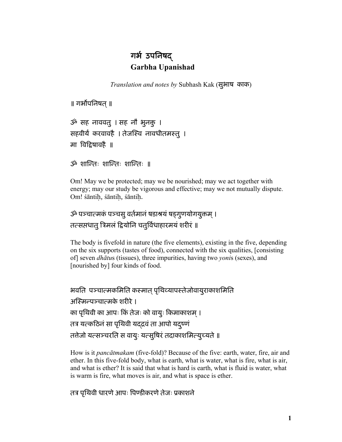# गर्भ उपनिषद् **Garbha Upanishad**

*Translation and notes by* Subhash Kak (सुभाष *काक*)

॥ गर्भोपनिषत् ॥

 $\mathcal{P}$  सह नाववत् । सह नौ भूनक् । सहवीर्यं करवावहै । तेजस्वि नावधीतमस्तु । मा विद्रिषावहै ॥

 $\mathcal{P}$  शान्तिः शान्तिः ॥

Om! May we be protected; may we be nourished; may we act together with energy; may our study be vigorous and effective; may we not mutually dispute. Om! śāntiå, śāntiå, śāntiå.

# ॐ पञ्चात्मकं पञ्चसु वर्तमानं षडाश्रयं षड़गुणयोगयुक्तम् । तत्सप्तधातु त्रिमलं द्वियोनि चतुर्विधाहारमयं शरीरं ॥

The body is fivefold in nature (the five elements), existing in the five, depending on the six supports (tastes of food), connected with the six qualities, [consisting of] seven *dhātu*s (tissues), three impurities, having two *yoni*s (sexes), and [nourished by] four kinds of food.

```
भवति पञ्चात्मकमिति कस्मात् पृथिव्यापस्तेजोवायुराकाशमिति
अस्मिन्पञ्चात्मके शरीरे ।
का पृथिवी का आपः किं तेजः को वायुः किमाकाशम् ।
तत्र यत्कठिनं सा पृथिवी यद्द्रवं ता आपो यद्ष्णं
तत्तेजो यत्सञ्चरति स वायुः यत्सुषिरं तदाकाशमित्युच्यते ॥
```
How is it *pancātmakam* (five-fold)? Because of the five: earth, water, fire, air and ether. In this five-fold body, what is earth, what is water, what is fire, what is air, and what is ether? It is said that what is hard is earth, what is fluid is water, what is warm is fire, what moves is air, and what is space is ether.

तत्र पृथिवी धारणे आपः पिण्डीकरणे तेजः प्रकाशने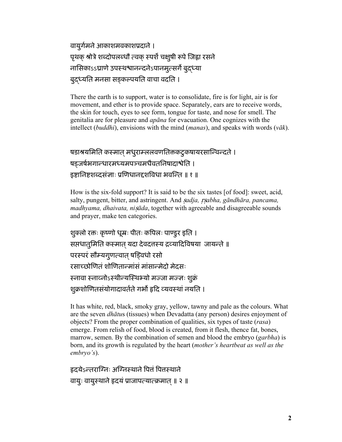```
वायुर्गमने आकाशमवकाशप्रदाने ।
पृथक् श्रोत्रे शब्दोपलब्धौ त्वक् स्पर्शे चक्षुषी रूपे जिह्वा रसने
नासिकाssघ्राणे उपस्थश्वानन्दनेsपानमुत्सर्गे बुदध्या
बुदध्यति मनसा सङ्कल्पयति वाचा वदति ।
```
There the earth is to support, water is to consolidate, fire is for light, air is for movement, and ether is to provide space. Separately, ears are to receive words, the skin for touch, eyes to see form, tongue for taste, and nose for smell. The genitalia are for pleasure and *apana* for evacuation. One cognizes with the intellect (*buddhi*), envisions with the mind (*manas*), and speaks with words ( $v\bar{a}k$ ).

# षडाश्रयमिति कस्मात् मधुराम्ललवणतिक्तकटुकषायरसान्विन्दते । षड़जर्षभगान्धारमध्यमपञ्चमधैवतनिषादाश्वेति । डष्टानिष्टशब्दसंज्ञाः प्रणिधानद्दशविधा भवन्ति ॥ १ ॥

How is the six-fold support? It is said to be the six tastes [of food]: sweet, acid, salty, pungent, bitter, and astringent. And sadja, rsabha, gāndhāra, pancama, *madhyama, dhaivata, nisāda*, together with agreeable and disagreeable sounds and prayer, make ten categories.

```
शुक्लो रक्तः कृष्णो धूम्रः पीतः कपिलः पाण्डुर इति ।
सप्तधातुमिति कस्मात् यदा देवदत्तस्य द्रव्यादिविषया जायन्ते ॥
परस्परं सौम्यगुणत्वात् षड़िवधो रसो
रसाच्छोणितं शोणितान्मांसं मांसान्मेदो मेदसः
स्नावा स्नाव्नोऽस्थीन्यस्थिभ्यो मज्जा मज्ज्ञः शुक्रं
शुक्रशोणितसंयोगादावर्तते गर्भो हृदि व्यवस्थां नयति ।
```
It has white, red, black, smoky gray, yellow, tawny and pale as the colours. What are the seven *dhātus* (tissues) when Devadatta (any person) desires enjoyment of objects? From the proper combination of qualities, six types of taste (rasa) emerge. From relish of food, blood is created, from it flesh, thence fat, bones, marrow, semen. By the combination of semen and blood the embryo (garbha) is born, and its growth is regulated by the heart (mother's heartbeat as well as the  $embryo's$ ).

```
हृदयेऽन्तराग्निः अग्निस्थाने पित्तं पित्तस्थाने
वायुः वायुस्थाने हृदयं प्राजापत्यात्क्रमात् ॥ २ ॥
```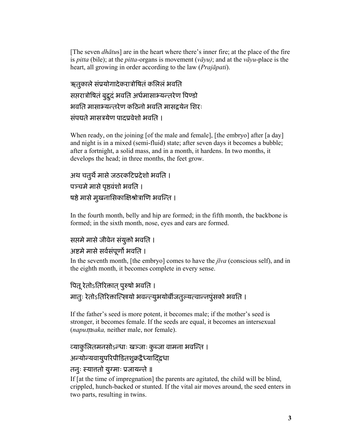[The seven *dhātu*s] are in the heart where there's inner fire; at the place of the fire is *pitta* (bile); at the *pitta-*organs is movement (*vāyu)*; and at the *vāyu*-place is the heart, all growing in order according to the law (*Prajāpati*).

ऋतुकाले संप्रयोगादेकरात्रोषितं कलिलं भवति सप्तरात्रोषितं बुद्धदं भवति अर्धमासाभ्यन्तरेण पिण्डो भवति मासाभ्यन्तरेण कठिनो भवति मासद्वयेन शिरः संपद्यते मासत्रयेण पादप्रवेशो भवति ।

When ready, on the joining [of the male and female], [the embryo] after [a day] and night is in a mixed (semi-fluid) state; after seven days it becomes a bubble; after a fortnight, a solid mass, and in a month, it hardens. In two months, it develops the head; in three months, the feet grow.

```
अथ चतुर्थे मासे जठरकटिप्रदेशो भवति ।
पञ्चमे मासे पृष्ठवंशो भवति ।
षष्ठे मासे मुखनासिकाक्षिश्रोत्राणि भवन्ति ।
```
In the fourth month, belly and hip are formed; in the fifth month, the backbone is formed; in the sixth month, nose, eyes and ears are formed.

### सप्तमे मासे जीवेन संयुक्तो भवति ।

## अष्टमे मासे सर्वसंपूर्णो भवति ।

In the seventh month, [the embryo] comes to have the *jīva* (conscious self), and in the eighth month, it becomes complete in every sense.

# पितू रेतोऽतिरिकात् पुरुषो भवति ।

मात्ः रेतोऽतिरिक्तात्स्त्रियो भवन्त्युभयोर्बीजतुल्यत्वान्नपुंसको भवति ।

If the father's seed is more potent, it becomes male; if the mother's seed is stronger, it becomes female. If the seeds are equal, it becomes an intersexual (*napumsaka*, neither male, nor female).

## व्याकुलितमनसोऽन्धाः खञ्जाः कुब्जा वामना भवन्ति ।

# अन्योन्यवायुपरिपीडितशुक्रद्वैध्यादिद्वधा

## तनुः स्यात्ततो युग्माः प्रजायन्ते ॥

If [at the time of impregnation] the parents are agitated, the child will be blind, crippled, hunch-backed or stunted. If the vital air moves around, the seed enters in two parts, resulting in twins.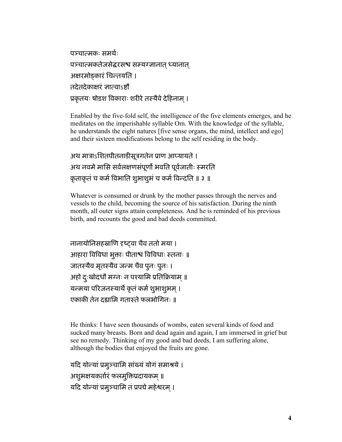पञ्चात्मकः समर्थः पञ्चात्मकतेजसेद्धरसश्च सम्यग्ज्ञानात ध्यानात अक्षरमोङ्कारं चिन्तयति । तदेतदेकाक्षरं ज्ञात्वाऽष्टौ प्रकृतयः षोडश विकाराः शरीरे तस्यैवे देहिनाम ।

Enabled by the five-fold self, the intelligence of the five elements emerges, and he meditates on the imperishable syllable Om. With the knowledge of the syllable, he understands the eight natures [five sense organs, the mind, intellect and ego] and their sixteen modifications belong to the self residing in the body.

```
अथ मात्राऽशितपीतनाडीसूत्रगतेन प्राण आप्यायते ।
अथ नवमे मासि सर्वलक्षणसंपूर्णो भवति पूर्वजातीः स्मरति
कृताकृतं च कर्म विभाति शुभाशुभं च कर्म विन्दति ॥ ३ ॥
```
Whatever is consumed or drunk by the mother passes through the nerves and vessels to the child, becoming the source of his satisfaction. During the ninth month, all outer signs attain completeness. And he is reminded of his previous birth, and recounts the good and bad deeds committed.

नानायोनिसहस्राणि दृष्टवा चैव ततो मया । आहारा विविधा भूक्ताः पीताश्व विविधाः स्तनाः ॥ जातस्यैव मृतस्यैव जन्म चैव पुनः पुनः । .<br>अहो दुःखोदधौ मग्नः न पश्यामि प्रतिक्रियाम् ॥ यन्मया परिजनस्यार्थे कृतं कर्म शुभाशुभम । एकाकी तेन दह्यामि गतास्ते फलभोगिनः ॥

He thinks: I have seen thousands of wombs, eaten several kinds of food and sucked many breasts. Born and dead again and again, I am immersed in grief but see no remedy. Thinking of my good and bad deeds, I am suffering alone, although the bodies that enjoyed the fruits are gone.

```
यदि योन्यां प्रमूञ्चामि सांख्यं योगं समाश्रये ।
अशुभक्षयकर्तारं फलमुक्तिप्रदायकम् ॥
यदि योन्यां प्रमुञ्चामि तं प्रपद्ये महेश्वरम् ।
```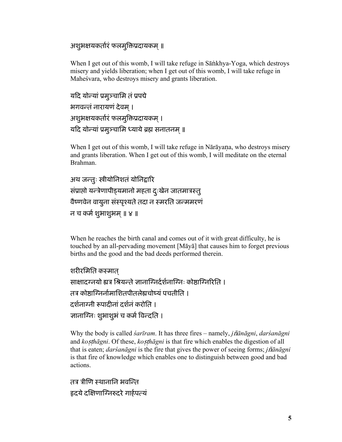## अशुभक्षयकर्तारं फलमुक्तिप्रदायकम् ॥

When I get out of this womb, I will take refuge in Sankhya-Yoga, which destroys misery and yields liberation; when I get out of this womb, I will take refuge in Maheśvara, who destroys misery and grants liberation.

```
यदि योन्यां प्रमुञ्चामि तं प्रपद्ये
भगवन्तं नारायणं देवम् ।
अशुभक्षयकर्तारं फलमुक्तिप्रदायकम् ।
यदि योन्यां प्रमूञ्चामि ध्याये ब्रह्म सनातनम् ॥
```
When I get out of this womb, I will take refuge in Nārāyana, who destroys misery and grants liberation. When I get out of this womb, I will meditate on the eternal Brahman.

```
अथ जन्तुः स्त्रीयोनिशतं योनिद्वारि
संप्राप्तो यन्त्रेणापीड्यमानो महता दुःखेन जातमात्रस्तु
वैष्णवेन वायुना संस्पृश्यते तदा न स्मरति जन्ममरणं
न च कर्म शुभाशुभम ॥ ४ ॥
```
When he reaches the birth canal and comes out of it with great difficulty, he is touched by an all-pervading movement [Maya] that causes him to forget previous births and the good and the bad deeds performed therein.

```
शरीरमिति कस्मात
साक्षादग्नयो ह्यत्र श्रियन्ते ज्ञानाग्निर्दर्शनाग्निः कोष्ठाग्निरिति ।
तत्र कोष्ठाग्निर्तामाशितपीतलेह्यचोष्यं पचतीति ।
दर्शनाग्नी रूपादीनां दर्शनं करोति ।
ज्ञानाग्निः शुभाशुभं च कर्म विन्दति ।
```
Why the body is called *sarīram*. It has three fires – namely, *jñānāgni*, *darsanāgni* and kosthāgni. Of these, kosthāgni is that fire which enables the digestion of all that is eaten; *darsanagni* is the fire that gives the power of seeing forms; *jnanagni* is that fire of knowledge which enables one to distinguish between good and bad actions.

तत्र त्रीणि स्थाताति भवन्ति हृदये दक्षिणाग्निरुदरे गार्हपत्यं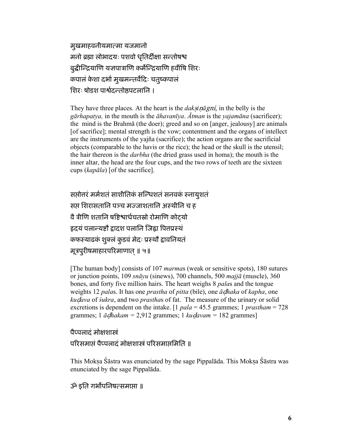मुखमाहवनीयमात्मा यजमानो मनो ब्रह्मा लोभादयः पशवो धृतिर्दीक्षा सन्तोषश्च बुद्धीन्द्रियाणि यज्ञपात्राणि कर्मेन्द्रियाणि हवींषि शिरः कपालं केशा दर्भा मुखमन्तर्वेदिः चतुष्कपालं शिरः षोडश पार्श्वदन्तोष्ठपटलानि ।

They have three places. At the heart is the *daksinagni*, in the belly is the *gārhapatya*, in the mouth is the  $\bar{a}h$ *avantya. Atman* is the *yajamāna* (sacrificer); the mind is the Brahma (the doer); greed and so on [anger, jealousy] are animals [of sacrifice]; mental strength is the vow; contentment and the organs of intellect are the instruments of the vajña (sacrifice); the action organs are the sacrificial objects (comparable to the havis or the rice); the head or the skull is the utensil; the hair thereon is the *darbha* (the dried grass used in homa); the mouth is the inner altar, the head are the four cups, and the two rows of teeth are the sixteen cups (*kapāla*) [of the sacrifice].

सप्तोत्तरं मर्मशतं साशीतिकं सन्धिशतं सनवकं स्नायुशतं सप्त शिरासतानि पञ्च मज्जाशतानि अस्थीनि च ह वै त्रीणि शतानि षष्टिश्वार्धचतस्रो रोमाणि कोट्यो हृदयं पलान्यष्टौ द्वादश पलानि जिह्वा पित्तप्रस्थं कफस्याढकं शुक्लं कुडवं मेदः प्रस्थौ द्वावनियतं मूत्रपुरीषमाहारपरिमाणात् ॥ ५॥

[The human body] consists of 107 *marmas* (weak or sensitive spots), 180 sutures or junction points, 109 snāyu (sinews), 700 channels, 500 majjā (muscle), 360 bones, and forty five million hairs. The heart weighs 8 palas and the tongue weights 12 palas. It has one prastha of pitta (bile), one  $\bar{a}$  dhaka of kapha, one kudava of sukra, and two prasthas of fat. The measure of the urinary or solid excretions is dependent on the intake. [1  $pala = 45.5$  grammes; 1  $prastham = 728$ grammes; 1  $\bar{a}$ *dhakam* = 2,912 grammes; 1 *kudavam* = 182 grammes]

### पैप्पलादं मोक्षशास्त्रं

### परिसमाप्तं पैप्पलादं मोक्षशास्त्रं परिसमाप्तमिति ॥

This Moksa Śāstra was enunciated by the sage Pippalāda. This Moksa Śāstra was enunciated by the sage Pippalada.

### ॐ इति गर्भोपनिषत्समाप्ता ॥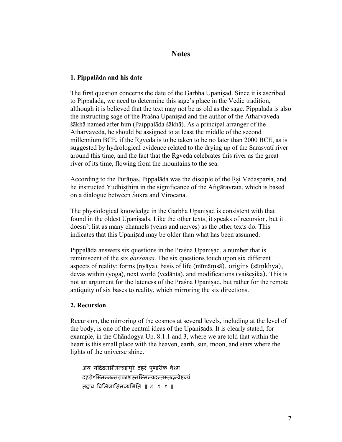### **Notes**

### **1. Pippalāda and his date**

The first question concerns the date of the Garbha Upanisad. Since it is ascribed to Pippalāda, we need to determine this sage's place in the Vedic tradition, although it is believed that the text may not be as old as the sage. Pippalāda is also the instructing sage of the Praśna Upanisad and the author of the Atharvaveda śākhā named after him (Paippalāda śākhā). As a principal arranger of the Atharvaveda, he should be assigned to at least the middle of the second millennium BCE, if the Rgveda is to be taken to be no later than  $2000$  BCE, as is suggested by hydrological evidence related to the drying up of the Sarasvatī river around this time, and the fact that the Rgveda celebrates this river as the great river of its time, flowing from the mountains to the sea.

According to the Purānas, Pippalāda was the disciple of the Rsi Vedasparsa, and he instructed Yudhisthira in the significance of the Angāravrata, which is based on a dialogue between Śukra and Virocana.

The physiological knowledge in the Garbha Upanisad is consistent with that found in the oldest Upanisads. Like the other texts, it speaks of recursion, but it doesn't list as many channels (veins and nerves) as the other texts do. This indicates that this Upanisad may be older than what has been assumed.

Pippalāda answers six questions in the Praśna Upanisad, a number that is reminiscent of the six *darśanas*. The six questions touch upon six different aspects of reality: forms (nyāya), basis of life (mīmāmsā), origins (sāmkhya), devas within (yoga), next world (vedānta), and modifications (vaiśesika). This is not an argument for the lateness of the Praśna Upanisad, but rather for the remote antiquity of six bases to reality, which mirroring the six directions.

### **2. Recursion**

Recursion, the mirroring of the cosmos at several levels, including at the level of the body, is one of the central ideas of the Upanisads. It is clearly stated, for example, in the Chāndogya Up. 8.1.1 and 3, where we are told that within the heart is this small place with the heaven, earth, sun, moon, and stars where the lights of the universe shine.

अथ यदिदमस्मिन्ब्रह्मपुरे दहरं पुण्डरीकं वेश्म दहरोऽस्मिन्नन्तराकाशस्तस्मिन्यदन्तस्तदन्वेष्टव्यं तद्वाव विजिज्ञासितव्यमिति ॥ ८. १. १ ॥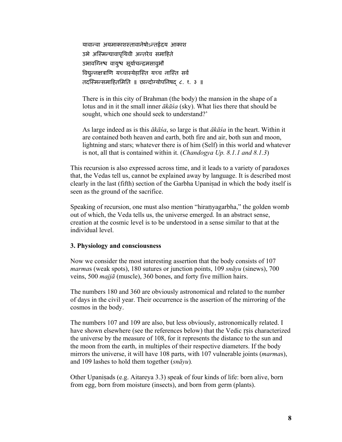यावान्वा अयमाकाशस्तावानेषोऽन्तर्हृदय आकाश उभे अस्मिन्यावापृथिवी अन्तरेव समाहिते उभावग्निश्व वायुश्व सूर्याचन्द्रमसाव्औ विद्युन्नक्षत्राणि यच्चास्येहास्ति यच्च नास्ति सर्व तदस्मिन्समाहितमिति ॥ छान्दोग्योपनिषद ८. १. ३ ॥

There is in this city of Brahman (the body) the mansion in the shape of a lotus and in it the small inner *ākāśa* (sky). What lies there that should be sought, which one should seek to understand?'

As large indeed as is this *ākāśa*, so large is that *ākāśa* in the heart. Within it are contained both heaven and earth, both fire and air, both sun and moon, lightning and stars; whatever there is of him (Self) in this world and whatever is not, all that is contained within it. (*Chandogya Up. 8.1.1 and 8.1.3*)

This recursion is also expressed across time, and it leads to a variety of paradoxes that, the Vedas tell us, cannot be explained away by language. It is described most clearly in the last (fifth) section of the Garbha Upanisad in which the body itself is seen as the ground of the sacrifice.

Speaking of recursion, one must also mention "hiranyagarbha," the golden womb out of which, the Veda tells us, the universe emerged. In an abstract sense, creation at the cosmic level is to be understood in a sense similar to that at the individual level.

#### **3. Physiology and consciousness**

Now we consider the most interesting assertion that the body consists of 107 *marma*s (weak spots), 180 sutures or junction points, 109 *snāyu* (sinews), 700 veins, 500 *majjā* (muscle), 360 bones, and forty five million hairs.

The numbers 180 and 360 are obviously astronomical and related to the number of days in the civil year. Their occurrence is the assertion of the mirroring of the cosmos in the body.

The numbers 107 and 109 are also, but less obviously, astronomically related. I have shown elsewhere (see the references below) that the Vedic rsis characterized the universe by the measure of 108, for it represents the distance to the sun and the moon from the earth, in multiples of their respective diameters. If the body mirrors the universe, it will have 108 parts, with 107 vulnerable joints (*marma*s), and 109 lashes to hold them together (*snāyu*)*.* 

Other Upanisads (e.g. Aitareya 3.3) speak of four kinds of life: born alive, born from egg, born from moisture (insects), and born from germ (plants).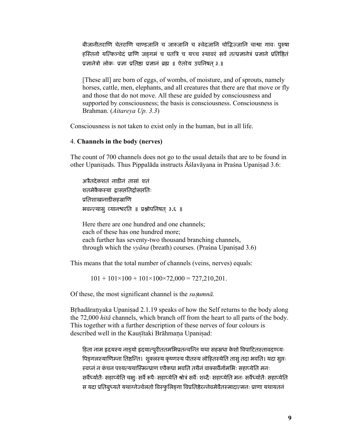बीजानीतराणि चेतराणि चाण्डजानि च जारुजानि च स्वेदजानि चोद्भिज्जानि चाश्वा गावः पुरुषा हस्तिनो यत्किञ्चेदं प्राणि जङ्गमं च पतत्रि च यच्च स्थावरं सर्वं तत्प्रज्ञानेत्रं प्रज्ञाने प्रतिष्ठितं प्रज्ञानेत्रो लोकः प्रज्ञा प्रतिष्ठा प्रज्ञानं ब्रह्म ॥ ऐतरेय उपनिषत् ३.॥

[These all] are born of eggs, of wombs, of moisture, and of sprouts, namely horses, cattle, men, elephants, and all creatures that there are that move or fly and those that do not move. All these are guided by consciousness and supported by consciousness; the basis is consciousness. Consciousness is Brahman. (Aitareya Up. 3.3)

Consciousness is not taken to exist only in the human, but in all life.

#### 4. Channels in the body (nerves)

The count of 700 channels does not go to the usual details that are to be found in other Upanisads. Thus Pippalāda instructs Āślavāyana in Praśna Upanisad 3.6:

अत्रैतदेकशतं नाडीनं तासां शतं शतमेकैकस्या द्वासप्ततिर्द्वासप्ततिः प्रतिशाखानाडीसहस्राणि भवन्त्यास् व्यानश्वरति ॥ प्रश्नोपनिषत् ३.६ ॥

Here there are one hundred and one channels; each of these has one hundred more; each further has seventy-two thousand branching channels, through which the *vyāna* (breath) courses. (Praśna Upanisad 3.6)

This means that the total number of channels (veins, nerves) equals:

 $101 + 101 \times 100 + 101 \times 100 \times 72{,}000 = 727{,}210{,}201$ .

Of these, the most significant channel is the *susumna*.

Brhadāranyaka Upanisad 2.1.19 speaks of how the Self returns to the body along the 72,000 hitā channels, which branch off from the heart to all parts of the body. This together with a further description of these nerves of four colours is described well in the Kausītaki Brāhmana Upanisad:

हिता नाम हृदयस्य नाड्यो हृदयात्पुरीततमभिप्रतन्वन्ति यथा सहस्रधा केशो विपाटितस्तावदण्ट्यः पिङ्गलस्याणिम्ना तिष्ठन्ति। शुक्लस्य कृष्णस्य पीतस्य लोहितस्येति तासु तदा भवति। यदा सुप्तः स्वप्नं न कंचन पश्यत्यथास्मिन्प्राण एवैकधा भवति तथैनं वाक्सर्वैर्नामभिः सहाप्येति मनः सर्वेध्यतिः सहाप्येति चक्षुः सर्वै रूपैः सहाप्येति श्रोत्रं सर्वैः शब्दैः सहाप्येति मनः सर्वैर्ध्यातैः सहाप्येति स यदा प्रतिबुध्यते यथाग्नेज्वेलतो विस्फुलिङ्गा विप्रतिष्ठेरन्नेवमेवैतस्मादात्मनः प्राणा यथायतनं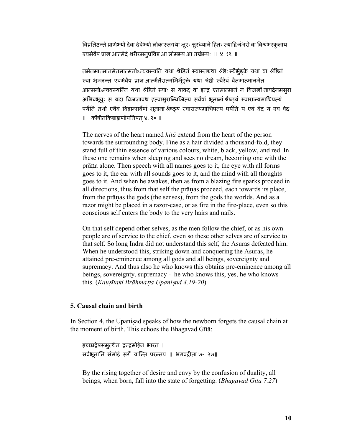विप्रतिष्ठन्ते प्राणेभ्यो देवा देवेभ्यो लोकास्तद्यथा क्षुरः क्षुरध्याने हितः स्याद्विश्वंभरो वा विश्वंभरकुलाय एवमेवैष प्राज्ञ आत्मेदं शरीरमनुप्रविष्ट आ लोमभ्य आ नखेभ्यः ॥ ४. १९. ॥

तमेतमात्मानमेतमात्मनोऽन्ववस्यति यथा श्रेष्ठिनं स्वास्तद्यथा श्रेष्ठैः स्वैर्भुङ्क्ते यथा वा श्रेष्ठिनं स्वा भुञ्जन्त एवमेवैष प्राज्ञ आत्मैतैरात्मभिर्भुङ्क्ते यथा श्रेष्ठी स्वैरेवं वैतमात्मानमेत आत्मनोऽन्ववस्यन्ति यथा श्रेष्ठिनं स्वाः स यावद्ध वा इन्द्र एतमात्मानं न विजज्ञौ तावदेनमसुरा अभिबभूवुः स यदा विजज्ञावथ हत्वासुरान्विजित्य सर्वेषां भूतानां श्रैष्ठ्यं स्वाराज्यमाधिपत्यं पर्यति तथो एवैवं विद्वान्सर्वेषां भूतानां श्रैष्ठयं स्वाराज्यमाधिपत्यं पर्येति य एवं वेद य एवं वेद ॥ कौषीतकिब्राह्मणोपनिषत ४. २० ॥

The nerves of the heart named *hitā* extend from the heart of the person towards the surrounding body. Fine as a hair divided a thousand-fold, they stand full of thin essence of various colours, white, black, yellow, and red. In these one remains when sleeping and sees no dream, becoming one with the prāna alone. Then speech with all names goes to it, the eye with all forms goes to it, the ear with all sounds goes to it, and the mind with all thoughts goes to it. And when he awakes, then as from a blazing fire sparks proceed in all directions, thus from that self the prānas proceed, each towards its place, from the prānas the gods (the senses), from the gods the worlds. And as a razor might be placed in a razor-case, or as fire in the fire-place, even so this conscious self enters the body to the very hairs and nails.

On that self depend other selves, as the men follow the chief, or as his own people are of service to the chief, even so these other selves are of service to that self. So long Indra did not understand this self, the Asuras defeated him. When he understood this, striking down and conquering the Asuras, he attained pre-eminence among all gods and all beings, sovereignty and supremacy. And thus also he who knows this obtains pre-eminence among all beings, sovereignty, supremacy - he who knows this, yes, he who knows this. (*Kau*¬*ītaki Brāhma*ª*a Upani*¬*ad 4.19-20*)

#### **5. Causal chain and birth**

In Section 4, the Upanisad speaks of how the newborn forgets the causal chain at the moment of birth. This echoes the Bhagavad Gītā:

इच्छाद्वेषसमुत्थेन द्वन्द्वमोहेन भारत । सर्वभूतानि संमोहं सर्गे यान्ति परन्तप ॥ भगवद्गीता ७- २७॥

By the rising together of desire and envy by the confusion of duality, all beings, when born, fall into the state of forgetting. (*Bhagavad Gītā 7.27*)